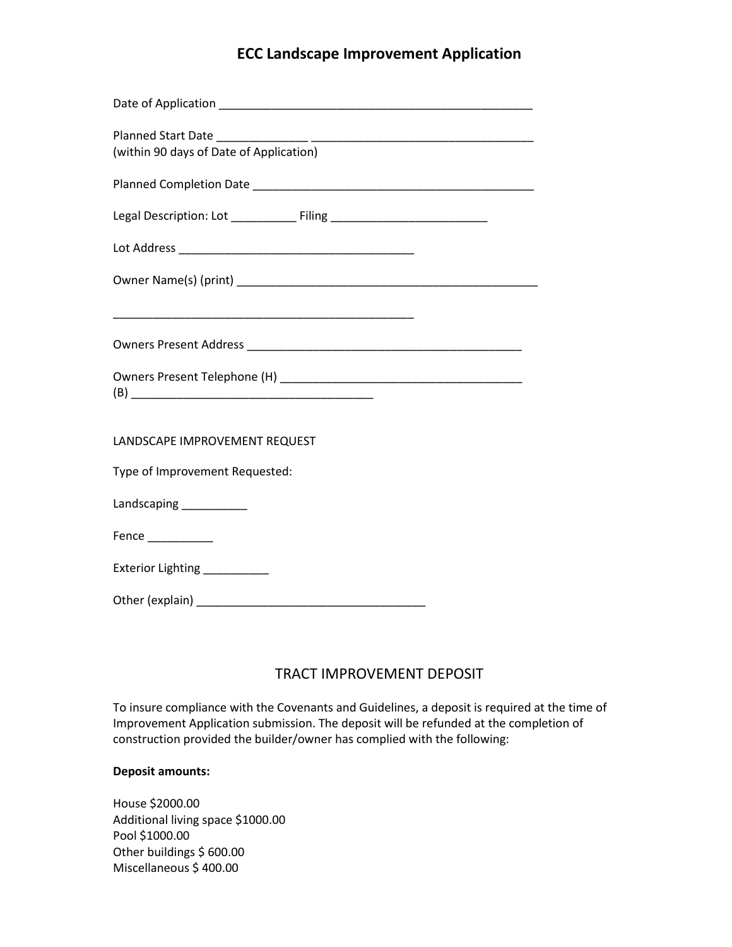# **ECC Landscape Improvement Application**

| (within 90 days of Date of Application)                                                                               |
|-----------------------------------------------------------------------------------------------------------------------|
|                                                                                                                       |
| Legal Description: Lot ________________ Filing _________________________________                                      |
|                                                                                                                       |
|                                                                                                                       |
| <u> 1989 - Johann John Stoff, deutscher Stoffen und der Stoffen und der Stoffen und der Stoffen und der Stoffen u</u> |
|                                                                                                                       |
|                                                                                                                       |
| LANDSCAPE IMPROVEMENT REQUEST                                                                                         |
| Type of Improvement Requested:                                                                                        |
| Landscaping __________                                                                                                |
| Fence $\frac{1}{2}$                                                                                                   |
| Exterior Lighting ___________                                                                                         |
|                                                                                                                       |

## TRACT IMPROVEMENT DEPOSIT

To insure compliance with the Covenants and Guidelines, a deposit is required at the time of Improvement Application submission. The deposit will be refunded at the completion of construction provided the builder/owner has complied with the following:

#### **Deposit amounts:**

House \$2000.00 Additional living space \$1000.00 Pool \$1000.00 Other buildings \$ 600.00 Miscellaneous \$ 400.00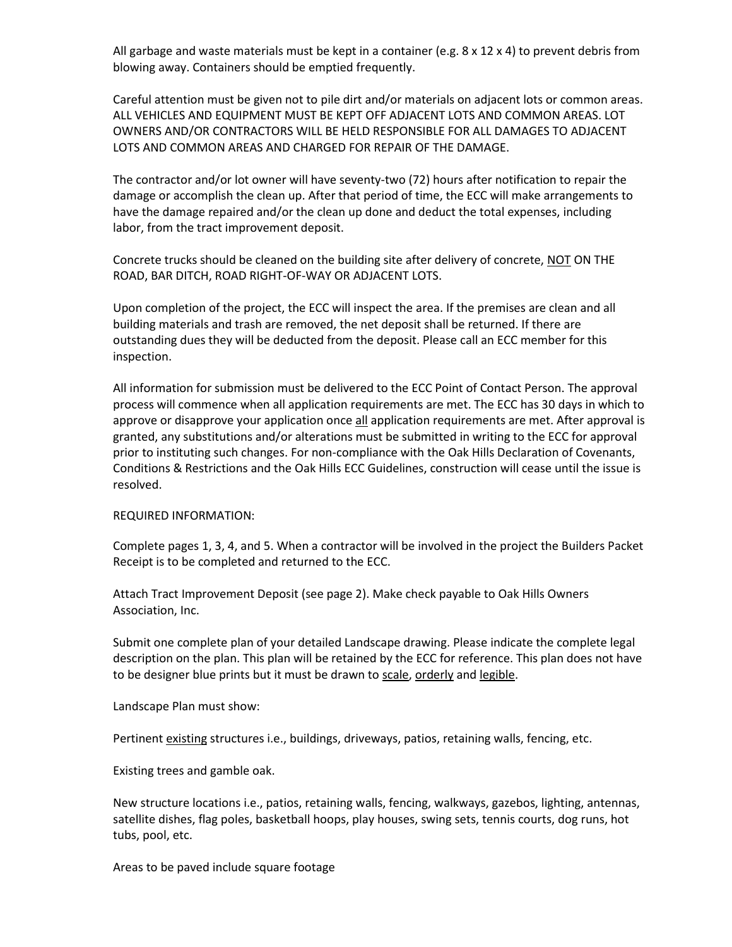All garbage and waste materials must be kept in a container (e.g.  $8 \times 12 \times 4$ ) to prevent debris from blowing away. Containers should be emptied frequently.

Careful attention must be given not to pile dirt and/or materials on adjacent lots or common areas. ALL VEHICLES AND EQUIPMENT MUST BE KEPT OFF ADJACENT LOTS AND COMMON AREAS. LOT OWNERS AND/OR CONTRACTORS WILL BE HELD RESPONSIBLE FOR ALL DAMAGES TO ADJACENT LOTS AND COMMON AREAS AND CHARGED FOR REPAIR OF THE DAMAGE.

The contractor and/or lot owner will have seventy-two (72) hours after notification to repair the damage or accomplish the clean up. After that period of time, the ECC will make arrangements to have the damage repaired and/or the clean up done and deduct the total expenses, including labor, from the tract improvement deposit.

Concrete trucks should be cleaned on the building site after delivery of concrete, NOT ON THE ROAD, BAR DITCH, ROAD RIGHT-OF-WAY OR ADJACENT LOTS.

Upon completion of the project, the ECC will inspect the area. If the premises are clean and all building materials and trash are removed, the net deposit shall be returned. If there are outstanding dues they will be deducted from the deposit. Please call an ECC member for this inspection.

All information for submission must be delivered to the ECC Point of Contact Person. The approval process will commence when all application requirements are met. The ECC has 30 days in which to approve or disapprove your application once all application requirements are met. After approval is granted, any substitutions and/or alterations must be submitted in writing to the ECC for approval prior to instituting such changes. For non-compliance with the Oak Hills Declaration of Covenants, Conditions & Restrictions and the Oak Hills ECC Guidelines, construction will cease until the issue is resolved.

#### REQUIRED INFORMATION:

Complete pages 1, 3, 4, and 5. When a contractor will be involved in the project the Builders Packet Receipt is to be completed and returned to the ECC.

Attach Tract Improvement Deposit (see page 2). Make check payable to Oak Hills Owners Association, Inc.

Submit one complete plan of your detailed Landscape drawing. Please indicate the complete legal description on the plan. This plan will be retained by the ECC for reference. This plan does not have to be designer blue prints but it must be drawn to scale, orderly and legible.

Landscape Plan must show:

Pertinent existing structures i.e., buildings, driveways, patios, retaining walls, fencing, etc.

Existing trees and gamble oak.

New structure locations i.e., patios, retaining walls, fencing, walkways, gazebos, lighting, antennas, satellite dishes, flag poles, basketball hoops, play houses, swing sets, tennis courts, dog runs, hot tubs, pool, etc.

Areas to be paved include square footage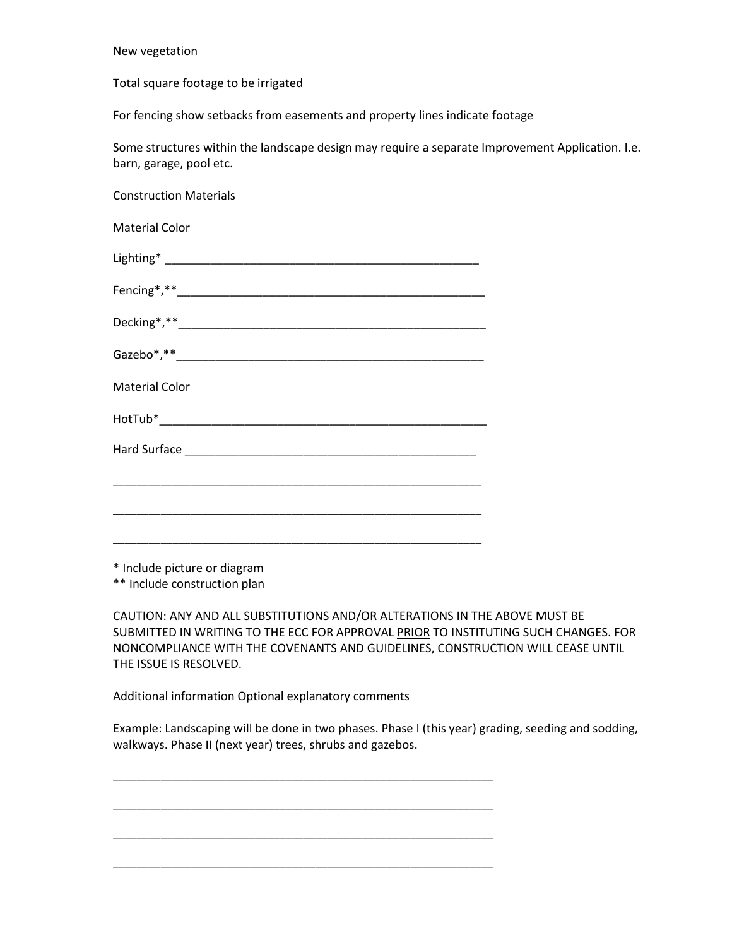New vegetation

Total square footage to be irrigated

For fencing show setbacks from easements and property lines indicate footage

Some structures within the landscape design may require a separate Improvement Application. I.e. barn, garage, pool etc.

Construction Materials

Material Color  $Lighting*$   $\hfill\blacksquare$ Fencing\*,\*\*\_\_\_\_\_\_\_\_\_\_\_\_\_\_\_\_\_\_\_\_\_\_\_\_\_\_\_\_\_\_\_\_\_\_\_\_\_\_\_\_\_\_\_\_\_\_\_ Decking\*,\*\*\_\_\_\_\_\_\_\_\_\_\_\_\_\_\_\_\_\_\_\_\_\_\_\_\_\_\_\_\_\_\_\_\_\_\_\_\_\_\_\_\_\_\_\_\_\_\_ Gazebo\*,\*\*\_\_\_\_\_\_\_\_\_\_\_\_\_\_\_\_\_\_\_\_\_\_\_\_\_\_\_\_\_\_\_\_\_\_\_\_\_\_\_\_\_\_\_\_\_\_\_ Material Color HotTub\*\_\_\_\_\_\_\_\_\_\_\_\_\_\_\_\_\_\_\_\_\_\_\_\_\_\_\_\_\_\_\_\_\_\_\_\_\_\_\_\_\_\_\_\_\_\_\_\_\_\_ Hard Surface **Exercise Exercise 20** \_\_\_\_\_\_\_\_\_\_\_\_\_\_\_\_\_\_\_\_\_\_\_\_\_\_\_\_\_\_\_\_\_\_\_\_\_\_\_\_\_\_\_\_\_\_\_\_\_\_\_\_\_\_\_\_\_\_\_\_\_\_ \_\_\_\_\_\_\_\_\_\_\_\_\_\_\_\_\_\_\_\_\_\_\_\_\_\_\_\_\_\_\_\_\_\_\_\_\_\_\_\_\_\_\_\_\_\_\_\_\_\_\_\_\_\_\_\_\_\_\_\_\_\_ \_\_\_\_\_\_\_\_\_\_\_\_\_\_\_\_\_\_\_\_\_\_\_\_\_\_\_\_\_\_\_\_\_\_\_\_\_\_\_\_\_\_\_\_\_\_\_\_\_\_\_\_\_\_\_\_\_\_\_\_\_\_

\* Include picture or diagram

\*\* Include construction plan

CAUTION: ANY AND ALL SUBSTITUTIONS AND/OR ALTERATIONS IN THE ABOVE MUST BE SUBMITTED IN WRITING TO THE ECC FOR APPROVAL PRIOR TO INSTITUTING SUCH CHANGES. FOR NONCOMPLIANCE WITH THE COVENANTS AND GUIDELINES, CONSTRUCTION WILL CEASE UNTIL THE ISSUE IS RESOLVED.

Additional information Optional explanatory comments

\_\_\_\_\_\_\_\_\_\_\_\_\_\_\_\_\_\_\_\_\_\_\_\_\_\_\_\_\_\_\_\_\_\_\_\_\_\_\_\_\_\_\_\_\_\_\_\_\_\_\_\_\_\_\_\_\_\_\_\_\_\_\_\_

\_\_\_\_\_\_\_\_\_\_\_\_\_\_\_\_\_\_\_\_\_\_\_\_\_\_\_\_\_\_\_\_\_\_\_\_\_\_\_\_\_\_\_\_\_\_\_\_\_\_\_\_\_\_\_\_\_\_\_\_\_\_\_\_

\_\_\_\_\_\_\_\_\_\_\_\_\_\_\_\_\_\_\_\_\_\_\_\_\_\_\_\_\_\_\_\_\_\_\_\_\_\_\_\_\_\_\_\_\_\_\_\_\_\_\_\_\_\_\_\_\_\_\_\_\_\_\_\_

\_\_\_\_\_\_\_\_\_\_\_\_\_\_\_\_\_\_\_\_\_\_\_\_\_\_\_\_\_\_\_\_\_\_\_\_\_\_\_\_\_\_\_\_\_\_\_\_\_\_\_\_\_\_\_\_\_\_\_\_\_\_\_\_

Example: Landscaping will be done in two phases. Phase I (this year) grading, seeding and sodding, walkways. Phase II (next year) trees, shrubs and gazebos.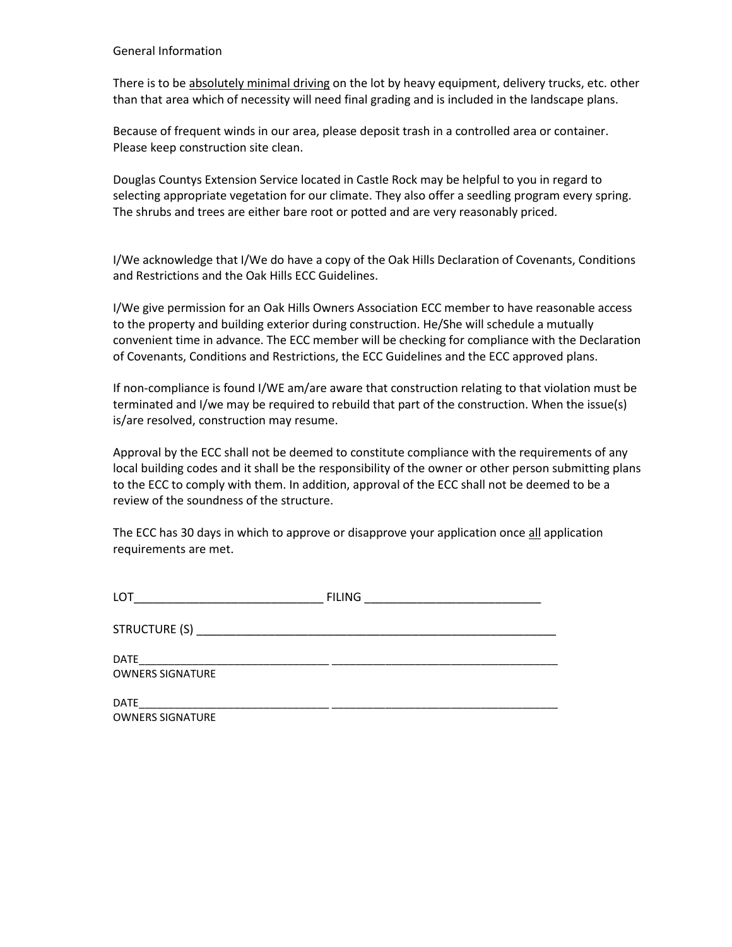#### General Information

There is to be absolutely minimal driving on the lot by heavy equipment, delivery trucks, etc. other than that area which of necessity will need final grading and is included in the landscape plans.

Because of frequent winds in our area, please deposit trash in a controlled area or container. Please keep construction site clean.

Douglas Countys Extension Service located in Castle Rock may be helpful to you in regard to selecting appropriate vegetation for our climate. They also offer a seedling program every spring. The shrubs and trees are either bare root or potted and are very reasonably priced.

I/We acknowledge that I/We do have a copy of the Oak Hills Declaration of Covenants, Conditions and Restrictions and the Oak Hills ECC Guidelines.

I/We give permission for an Oak Hills Owners Association ECC member to have reasonable access to the property and building exterior during construction. He/She will schedule a mutually convenient time in advance. The ECC member will be checking for compliance with the Declaration of Covenants, Conditions and Restrictions, the ECC Guidelines and the ECC approved plans.

If non-compliance is found I/WE am/are aware that construction relating to that violation must be terminated and I/we may be required to rebuild that part of the construction. When the issue(s) is/are resolved, construction may resume.

Approval by the ECC shall not be deemed to constitute compliance with the requirements of any local building codes and it shall be the responsibility of the owner or other person submitting plans to the ECC to comply with them. In addition, approval of the ECC shall not be deemed to be a review of the soundness of the structure.

The ECC has 30 days in which to approve or disapprove your application once all application requirements are met.

| LOT                                    | <b>FILING</b><br><u> 1980 - Andrea Andrew Maria (h. 1980).</u> |
|----------------------------------------|----------------------------------------------------------------|
|                                        |                                                                |
| <b>DATE</b><br><b>OWNERS SIGNATURE</b> |                                                                |
| <b>DATE</b><br><b>OWNERS SIGNATURE</b> |                                                                |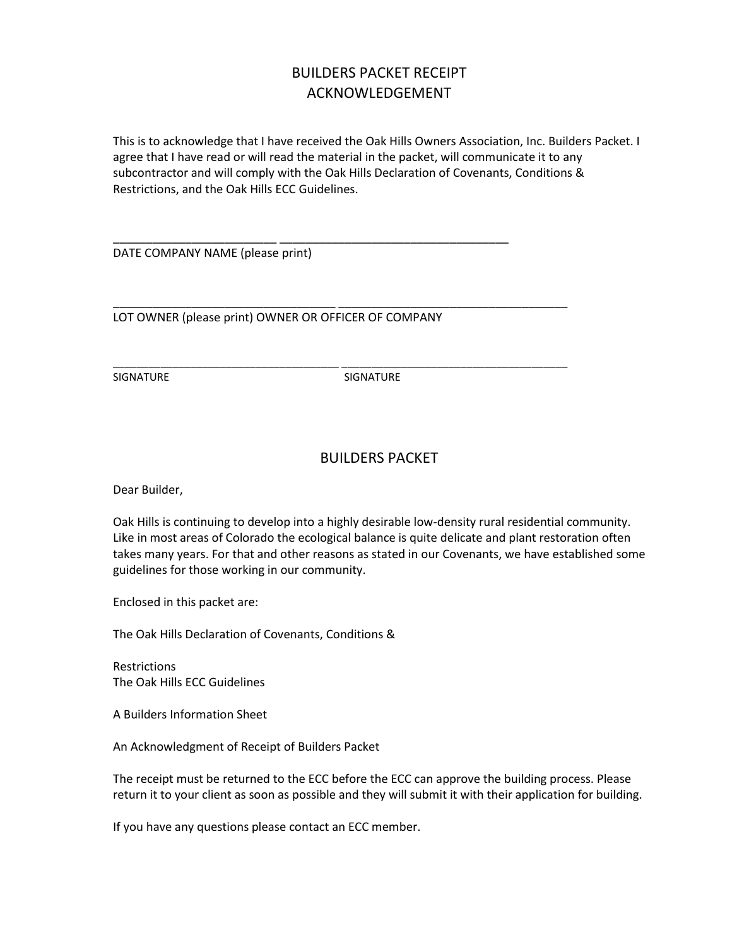# BUILDERS PACKET RECEIPT ACKNOWLEDGEMENT

This is to acknowledge that I have received the Oak Hills Owners Association, Inc. Builders Packet. I agree that I have read or will read the material in the packet, will communicate it to any subcontractor and will comply with the Oak Hills Declaration of Covenants, Conditions & Restrictions, and the Oak Hills ECC Guidelines.

DATE COMPANY NAME (please print)

LOT OWNER (please print) OWNER OR OFFICER OF COMPANY

\_\_\_\_\_\_\_\_\_\_\_\_\_\_\_\_\_\_\_\_\_\_\_\_\_ \_\_\_\_\_\_\_\_\_\_\_\_\_\_\_\_\_\_\_\_\_\_\_\_\_\_\_\_\_\_\_\_\_\_\_

\_\_\_\_\_\_\_\_\_\_\_\_\_\_\_\_\_\_\_\_\_\_\_\_\_\_\_\_\_\_\_\_\_\_ \_\_\_\_\_\_\_\_\_\_\_\_\_\_\_\_\_\_\_\_\_\_\_\_\_\_\_\_\_\_\_\_\_\_\_

\_\_\_\_\_\_\_\_\_\_\_\_\_\_\_\_\_\_\_\_\_\_\_\_\_\_\_\_\_\_\_\_\_\_\_\_\_\_ \_\_\_\_\_\_\_\_\_\_\_\_\_\_\_\_\_\_\_\_\_\_\_\_\_\_\_\_\_\_\_\_\_\_\_\_\_\_

SIGNATURE SIGNATURE

### BUILDERS PACKET

Dear Builder,

Oak Hills is continuing to develop into a highly desirable low-density rural residential community. Like in most areas of Colorado the ecological balance is quite delicate and plant restoration often takes many years. For that and other reasons as stated in our Covenants, we have established some guidelines for those working in our community.

Enclosed in this packet are:

The Oak Hills Declaration of Covenants, Conditions &

**Restrictions** The Oak Hills ECC Guidelines

A Builders Information Sheet

An Acknowledgment of Receipt of Builders Packet

The receipt must be returned to the ECC before the ECC can approve the building process. Please return it to your client as soon as possible and they will submit it with their application for building.

If you have any questions please contact an ECC member.